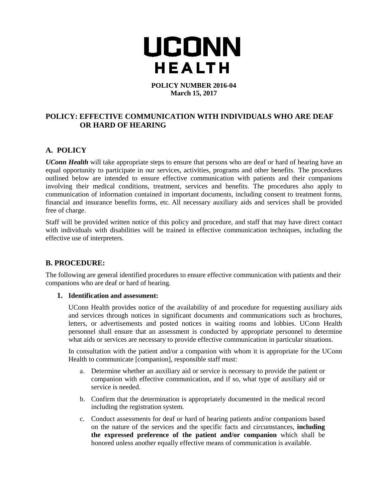

**POLICY NUMBER 2016-04 March 15, 2017**

# **POLICY: EFFECTIVE COMMUNICATION WITH INDIVIDUALS WHO ARE DEAF OR HARD OF HEARING**

# **A. POLICY**

*UConn Health* will take appropriate steps to ensure that persons who are deaf or hard of hearing have an equal opportunity to participate in our services, activities, programs and other benefits. The procedures outlined below are intended to ensure effective communication with patients and their companions involving their medical conditions, treatment, services and benefits. The procedures also apply to communication of information contained in important documents, including consent to treatment forms, financial and insurance benefits forms, etc. All necessary auxiliary aids and services shall be provided free of charge.

Staff will be provided written notice of this policy and procedure, and staff that may have direct contact with individuals with disabilities will be trained in effective communication techniques, including the effective use of interpreters.

## **B. PROCEDURE:**

The following are general identified procedures to ensure effective communication with patients and their companions who are deaf or hard of hearing.

#### **1. Identification and assessment:**

UConn Health provides notice of the availability of and procedure for requesting auxiliary aids and services through notices in significant documents and communications such as brochures, letters, or advertisements and posted notices in waiting rooms and lobbies. UConn Health personnel shall ensure that an assessment is conducted by appropriate personnel to determine what aids or services are necessary to provide effective communication in particular situations.

In consultation with the patient and/or a companion with whom it is appropriate for the UConn Health to communicate [companion], responsible staff must:

- a. Determine whether an auxiliary aid or service is necessary to provide the patient or companion with effective communication, and if so, what type of auxiliary aid or service is needed.
- b. Confirm that the determination is appropriately documented in the medical record including the registration system.
- c. Conduct assessments for deaf or hard of hearing patients and/or companions based on the nature of the services and the specific facts and circumstances, **including the expressed preference of the patient and/or companion** which shall be honored unless another equally effective means of communication is available.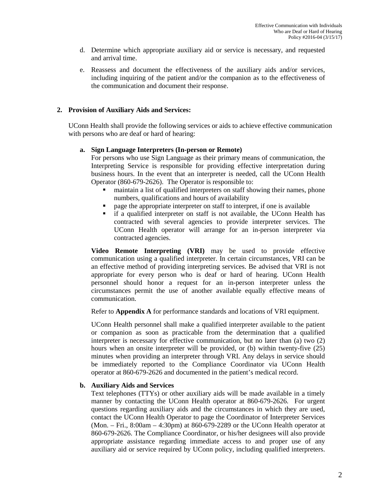- d. Determine which appropriate auxiliary aid or service is necessary, and requested and arrival time.
- e. Reassess and document the effectiveness of the auxiliary aids and/or services, including inquiring of the patient and/or the companion as to the effectiveness of the communication and document their response.

### **2. Provision of Auxiliary Aids and Services:**

UConn Health shall provide the following services or aids to achieve effective communication with persons who are deaf or hard of hearing:

### **a. Sign Language Interpreters (In-person or Remote)**

For persons who use Sign Language as their primary means of communication, the Interpreting Service is responsible for providing effective interpretation during business hours. In the event that an interpreter is needed, call the UConn Health Operator (860-679-2626). The Operator is responsible to:

- maintain a list of qualified interpreters on staff showing their names, phone numbers, qualifications and hours of availability
- page the appropriate interpreter on staff to interpret, if one is available
- if a qualified interpreter on staff is not available, the UConn Health has contracted with several agencies to provide interpreter services. The UConn Health operator will arrange for an in-person interpreter via contracted agencies.

**Video Remote Interpreting (VRI)** may be used to provide effective communication using a qualified interpreter. In certain circumstances, VRI can be an effective method of providing interpreting services. Be advised that VRI is not appropriate for every person who is deaf or hard of hearing. UConn Health personnel should honor a request for an in-person interpreter unless the circumstances permit the use of another available equally effective means of communication.

Refer to **Appendix A** for performance standards and locations of VRI equipment.

UConn Health personnel shall make a qualified interpreter available to the patient or companion as soon as practicable from the determination that a qualified interpreter is necessary for effective communication, but no later than (a) two (2) hours when an onsite interpreter will be provided, or (b) within twenty-five (25) minutes when providing an interpreter through VRI. Any delays in service should be immediately reported to the Compliance Coordinator via UConn Health operator at 860-679-2626 and documented in the patient's medical record.

### **b. Auxiliary Aids and Services**

Text telephones (TTYs) or other auxiliary aids will be made available in a timely manner by contacting the UConn Health operator at 860-679-2626. For urgent questions regarding auxiliary aids and the circumstances in which they are used, contact the UConn Health Operator to page the Coordinator of Interpreter Services (Mon. – Fri., 8:00am – 4:30pm) at 860-679-2289 or the UConn Health operator at 860-679-2626. The Compliance Coordinator, or his/her designees will also provide appropriate assistance regarding immediate access to and proper use of any auxiliary aid or service required by UConn policy, including qualified interpreters.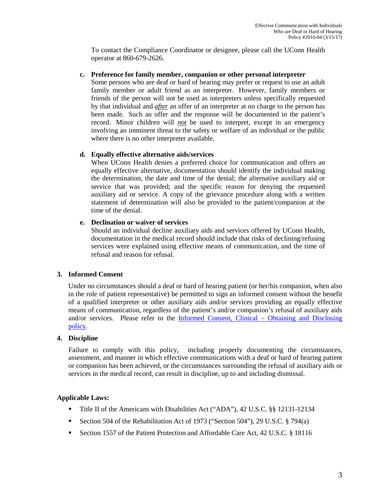To contact the Compliance Coordinator or designee, please call the UConn Health operator at 860-679-2626.

#### **c. Preference for family member, companion or other personal interpreter**

Some persons who are deaf or hard of hearing may prefer or request to use an adult family member or adult friend as an interpreter. However, family members or friends of the person will not be used as interpreters unless specifically requested by that individual and *after* an offer of an interpreter at no charge to the person has been made. Such an offer and the response will be documented in the patient's record. Minor children will *not* be used to interpret, except in an emergency involving an imminent threat to the safety or welfare of an individual or the public where there is no other interpreter available.

#### **d. Equally effective alternative aids/services**

When UConn Health denies a preferred choice for communication and offers an equally effective alternative, documentation should identify the individual making the determination, the date and time of the denial; the alternative auxiliary aid or service that was provided; and the specific reason for denying the requested auxiliary aid or service. A copy of the grievance procedure along with a written statement of determination will also be provided to the patient/companion at the time of the denial.

#### **e. Declination or waiver of services**

Should an individual decline auxiliary aids and services offered by UConn Health, documentation in the medical record should include that risks of declining/refusing services were explained using effective means of communication, and the time of refusal and reason for refusal.

#### **3. Informed Consent**

Under no circumstances should a deaf or hard of hearing patient (or her/his companion, when also in the role of patient representative) be permitted to sign an informed consent without the benefit of a qualified interpreter or other auxiliary aids and/or services providing an equally effective means of communication, regardless of the patient's and/or companion's refusal of auxiliary aids and/or services. Please refer to the [Informed Consent, Clinical –](https://health.uconn.edu/policies/wp-content/uploads/sites/28/2017/06/2015-03-Informed-Consent-Clinical-Obtaining-Documenting.pdf) Obtaining and Disclosing [policy.](https://health.uconn.edu/policies/wp-content/uploads/sites/28/2017/06/2015-03-Informed-Consent-Clinical-Obtaining-Documenting.pdf)

### **4. Discipline**

Failure to comply with this policy, including properly documenting the circumstances, assessment, and manner in which effective communications with a deaf or hard of hearing patient or companion has been achieved, or the circumstances surrounding the refusal of auxiliary aids or services in the medical record, can result in discipline, up to and including dismissal.

### **Applicable Laws:**

- Title II of the Americans with Disabilities Act ("ADA"), 42 U.S.C. §§ 12131-12134
- Section 504 of the Rehabilitation Act of 1973 ("Section 504"), 29 U.S.C. § 794(a)
- Section 1557 of the Patient Protection and Affordable Care Act, 42 U.S.C. § 18116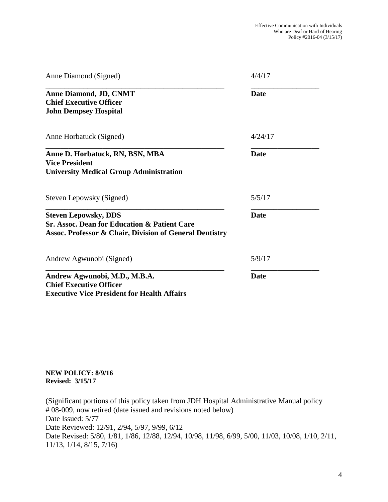| Anne Diamond (Signed)                                                                                                                             | 4/4/17      |
|---------------------------------------------------------------------------------------------------------------------------------------------------|-------------|
| <b>Anne Diamond, JD, CNMT</b><br><b>Chief Executive Officer</b><br><b>John Dempsey Hospital</b>                                                   | <b>Date</b> |
| Anne Horbatuck (Signed)                                                                                                                           | 4/24/17     |
| Anne D. Horbatuck, RN, BSN, MBA<br><b>Vice President</b><br><b>University Medical Group Administration</b>                                        | <b>Date</b> |
| Steven Lepowsky (Signed)                                                                                                                          | 5/5/17      |
| <b>Steven Lepowsky, DDS</b><br><b>Sr. Assoc. Dean for Education &amp; Patient Care</b><br>Assoc. Professor & Chair, Division of General Dentistry | <b>Date</b> |
| Andrew Agwunobi (Signed)                                                                                                                          | 5/9/17      |
| Andrew Agwunobi, M.D., M.B.A.<br><b>Chief Executive Officer</b><br><b>Executive Vice President for Health Affairs</b>                             | <b>Date</b> |

### **NEW POLICY: 8/9/16 Revised: 3/15/17**

(Significant portions of this policy taken from JDH Hospital Administrative Manual policy # 08-009, now retired (date issued and revisions noted below) Date Issued: 5/77 Date Reviewed: 12/91, 2/94, 5/97, 9/99, 6/12 Date Revised: 5/80, 1/81, 1/86, 12/88, 12/94, 10/98, 11/98, 6/99, 5/00, 11/03, 10/08, 1/10, 2/11, 11/13, 1/14, 8/15, 7/16)